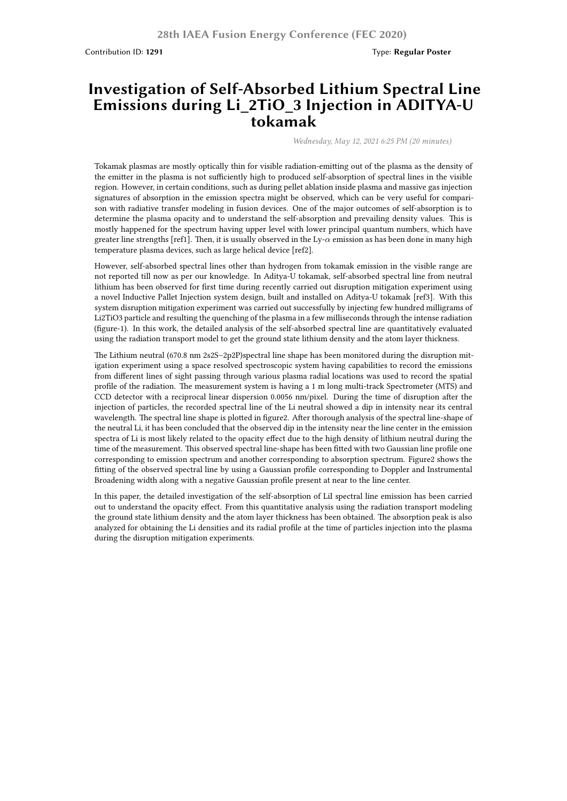## **Investigation of Self-Absorbed Lithium Spectral Line Emissions during Li\_2TiO\_3 Injection in ADITYA-U tokamak**

*Wednesday, May 12, 2021 6:25 PM (20 minutes)*

Tokamak plasmas are mostly optically thin for visible radiation-emitting out of the plasma as the density of the emitter in the plasma is not sufficiently high to produced self-absorption of spectral lines in the visible region. However, in certain conditions, such as during pellet ablation inside plasma and massive gas injection signatures of absorption in the emission spectra might be observed, which can be very useful for comparison with radiative transfer modeling in fusion devices. One of the major outcomes of self-absorption is to determine the plasma opacity and to understand the self-absorption and prevailing density values. This is mostly happened for the spectrum having upper level with lower principal quantum numbers, which have greater line strengths [ref1]. Then, it is usually observed in the Ly-*α* emission as has been done in many high temperature plasma devices, such as large helical device [ref2].

However, self-absorbed spectral lines other than hydrogen from tokamak emission in the visible range are not reported till now as per our knowledge. In Aditya-U tokamak, self-absorbed spectral line from neutral lithium has been observed for first time during recently carried out disruption mitigation experiment using a novel Inductive Pallet Injection system design, built and installed on Aditya-U tokamak [ref3]. With this system disruption mitigation experiment was carried out successfully by injecting few hundred milligrams of Li2TiO3 particle and resulting the quenching of the plasma in a few milliseconds through the intense radiation (figure-1). In this work, the detailed analysis of the self-absorbed spectral line are quantitatively evaluated using the radiation transport model to get the ground state lithium density and the atom layer thickness.

The Lithium neutral (670.8 nm 2s2S–2p2P)spectral line shape has been monitored during the disruption mitigation experiment using a space resolved spectroscopic system having capabilities to record the emissions from different lines of sight passing through various plasma radial locations was used to record the spatial profile of the radiation. The measurement system is having a 1 m long multi-track Spectrometer (MTS) and CCD detector with a reciprocal linear dispersion 0.0056 nm/pixel. During the time of disruption after the injection of particles, the recorded spectral line of the Li neutral showed a dip in intensity near its central wavelength. The spectral line shape is plotted in figure2. After thorough analysis of the spectral line-shape of the neutral Li, it has been concluded that the observed dip in the intensity near the line center in the emission spectra of Li is most likely related to the opacity effect due to the high density of lithium neutral during the time of the measurement. This observed spectral line-shape has been fitted with two Gaussian line profile one corresponding to emission spectrum and another corresponding to absorption spectrum. Figure2 shows the fitting of the observed spectral line by using a Gaussian profile corresponding to Doppler and Instrumental Broadening width along with a negative Gaussian profile present at near to the line center.

In this paper, the detailed investigation of the self-absorption of LiI spectral line emission has been carried out to understand the opacity effect. From this quantitative analysis using the radiation transport modeling the ground state lithium density and the atom layer thickness has been obtained. The absorption peak is also analyzed for obtaining the Li densities and its radial profile at the time of particles injection into the plasma during the disruption mitigation experiments.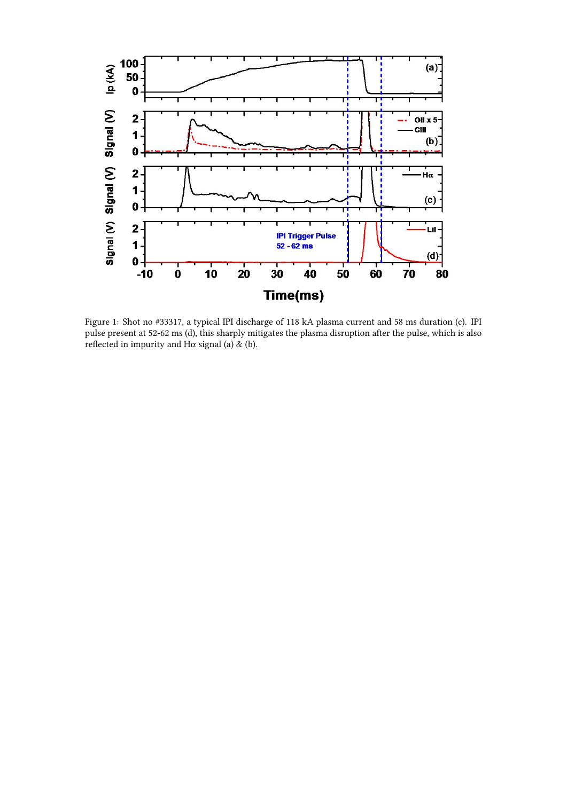

Figure 1: Shot no #33317, a typical IPI discharge of 118 kA plasma current and 58 ms duration (c). IPI pulse present at 52-62 ms (d), this sharply mitigates the plasma disruption after the pulse, which is also reflected in impurity and H $\alpha$  signal (a) & (b).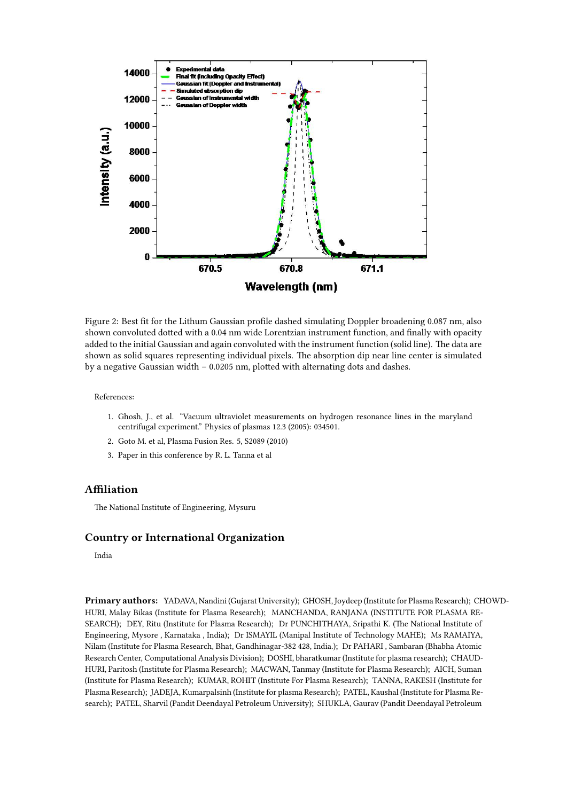

Figure 2: Best fit for the Lithum Gaussian profile dashed simulating Doppler broadening 0.087 nm, also shown convoluted dotted with a 0.04 nm wide Lorentzian instrument function, and finally with opacity added to the initial Gaussian and again convoluted with the instrument function (solid line). The data are shown as solid squares representing individual pixels. The absorption dip near line center is simulated by a negative Gaussian width – 0.0205 nm, plotted with alternating dots and dashes.

References:

- 1. Ghosh, J., et al. "Vacuum ultraviolet measurements on hydrogen resonance lines in the maryland centrifugal experiment." Physics of plasmas 12.3 (2005): 034501.
- 2. Goto M. et al, Plasma Fusion Res. 5, S2089 (2010)
- 3. Paper in this conference by R. L. Tanna et al

## **Affiliation**

The National Institute of Engineering, Mysuru

## **Country or International Organization**

India

**Primary authors:** YADAVA, Nandini (Gujarat University); GHOSH, Joydeep (Institute for Plasma Research); CHOWD-HURI, Malay Bikas (Institute for Plasma Research); MANCHANDA, RANJANA (INSTITUTE FOR PLASMA RE-SEARCH); DEY, Ritu (Institute for Plasma Research); Dr PUNCHITHAYA, Sripathi K. (The National Institute of Engineering, Mysore , Karnataka , India); Dr ISMAYIL (Manipal Institute of Technology MAHE); Ms RAMAIYA, Nilam (Institute for Plasma Research, Bhat, Gandhinagar-382 428, India.); Dr PAHARI , Sambaran (Bhabha Atomic Research Center, Computational Analysis Division); DOSHI, bharatkumar (Institute for plasma research); CHAUD-HURI, Paritosh (Institute for Plasma Research); MACWAN, Tanmay (Institute for Plasma Research); AICH, Suman (Institute for Plasma Research); KUMAR, ROHIT (Institute For Plasma Research); TANNA, RAKESH (Institute for Plasma Research); JADEJA, Kumarpalsinh (Institute for plasma Research); PATEL, Kaushal (Institute for Plasma Research); PATEL, Sharvil (Pandit Deendayal Petroleum University); SHUKLA, Gaurav (Pandit Deendayal Petroleum